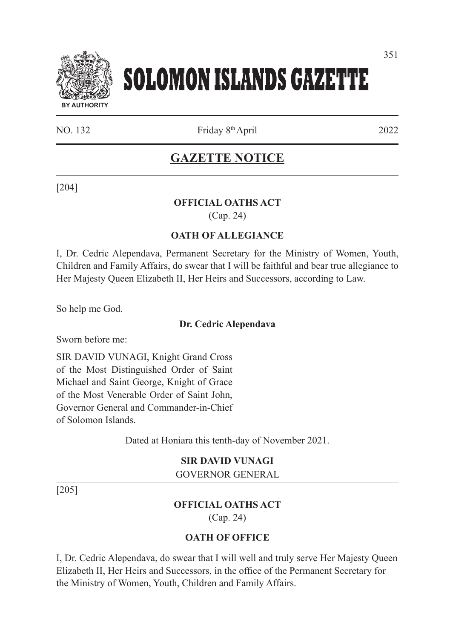

# **SOLOMON ISLANDS GAZETTE**

NO. 132 Friday 8<sup>th</sup> April 2022

**GAZETTE NOTICE**

[204]

#### **OFFICIAL OATHS ACT**  (Cap. 24)

## **OATH OF ALLEGIANCE**

I, Dr. Cedric Alependava, Permanent Secretary for the Ministry of Women, Youth, Children and Family Affairs, do swear that I will be faithful and bear true allegiance to Her Majesty Queen Elizabeth II, Her Heirs and Successors, according to Law.

So help me God.

#### **Dr. Cedric Alependava**

Sworn before me:

SIR DAVID VUNAGI, Knight Grand Cross of the Most Distinguished Order of Saint Michael and Saint George, Knight of Grace of the Most Venerable Order of Saint John, Governor General and Commander-in-Chief of Solomon Islands.

Dated at Honiara this tenth-day of November 2021.

## **SIR DAVID VUNAGI**

GOVERNOR GENERAL

[205]

## **OFFICIAL OATHS ACT**

(Cap. 24)

#### **OATH OF OFFICE**

I, Dr. Cedric Alependava, do swear that I will well and truly serve Her Majesty Queen Elizabeth II, Her Heirs and Successors, in the office of the Permanent Secretary for the Ministry of Women, Youth, Children and Family Affairs.